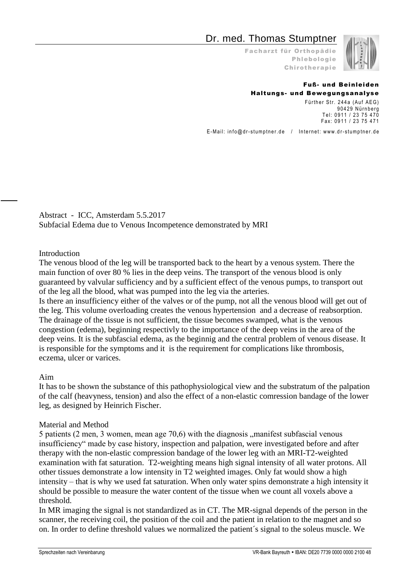# Dr. med. Thomas Stumptner

Facharzt für Orthopädie Phlebologie Chirotherapie



#### Fuß- und Beinleiden Haltungs- und Bewegungsanalyse

Fürther Str. 244a (Auf AEG) 90429 Nürnberg Tel: 0911 / 23 75 470 Fax: 0911 / 23 75 471

E-Mail: info@dr-stumptner.de / Internet: www.dr-stumptner.de

Abstract - ICC, Amsterdam 5.5.2017 Subfacial Edema due to Venous Incompetence demonstrated by MRI

#### Introduction

The venous blood of the leg will be transported back to the heart by a venous system. There the main function of over 80 % lies in the deep veins. The transport of the venous blood is only guaranteed by valvular sufficiency and by a sufficient effect of the venous pumps, to transport out of the leg all the blood, what was pumped into the leg via the arteries.

Is there an insufficiency either of the valves or of the pump, not all the venous blood will get out of the leg. This volume overloading creates the venous hypertension and a decrease of reabsorption. The drainage of the tissue is not sufficient, the tissue becomes swamped, what is the venous congestion (edema), beginning respectivly to the importance of the deep veins in the area of the deep veins. It is the subfascial edema, as the beginnig and the central problem of venous disease. It is responsible for the symptoms and it is the requirement for complications like thrombosis, eczema, ulcer or varices.

#### Aim

It has to be shown the substance of this pathophysiological view and the substratum of the palpation of the calf (heavyness, tension) and also the effect of a non-elastic comression bandage of the lower leg, as designed by Heinrich Fischer.

#### Material and Method

5 patients (2 men, 3 women, mean age  $70,6$ ) with the diagnosis  $\mu$  manifest subfascial venous insufficiency" made by case history, inspection and palpation, were investigated before and after therapy with the non-elastic compression bandage of the lower leg with an MRI-T2-weighted examination with fat saturation. T2-weighting means high signal intensity of all water protons. All other tissues demonstrate a low intensity in T2 weighted images. Only fat would show a high intensity – that is why we used fat saturation. When only water spins demonstrate a high intensity it should be possible to measure the water content of the tissue when we count all voxels above a threshold.

In MR imaging the signal is not standardized as in CT. The MR-signal depends of the person in the scanner, the receiving coil, the position of the coil and the patient in relation to the magnet and so on. In order to define threshold values we normalized the patient´s signal to the soleus muscle. We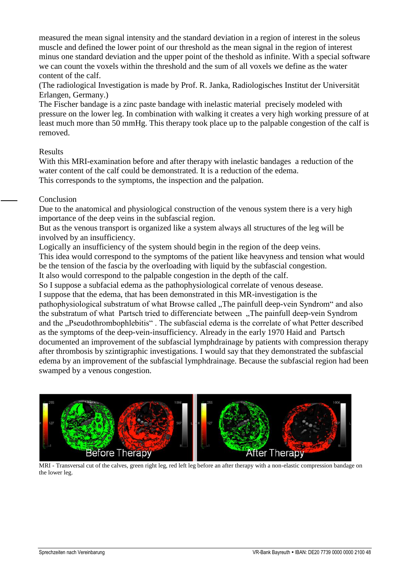measured the mean signal intensity and the standard deviation in a region of interest in the soleus muscle and defined the lower point of our threshold as the mean signal in the region of interest minus one standard deviation and the upper point of the theshold as infinite. With a special software we can count the voxels within the threshold and the sum of all voxels we define as the water content of the calf.

(The radiological Investigation is made by Prof. R. Janka, Radiologisches Institut der Universität Erlangen, Germany.)

The Fischer bandage is a zinc paste bandage with inelastic material precisely modeled with pressure on the lower leg. In combination with walking it creates a very high working pressure of at least much more than 50 mmHg. This therapy took place up to the palpable congestion of the calf is removed.

#### Results

With this MRI-examination before and after therapy with inelastic bandages a reduction of the water content of the calf could be demonstrated. It is a reduction of the edema. This corresponds to the symptoms, the inspection and the palpation.

## Conclusion

Due to the anatomical and physiological construction of the venous system there is a very high importance of the deep veins in the subfascial region.

But as the venous transport is organized like a system always all structures of the leg will be involved by an insufficiency.

Logically an insufficiency of the system should begin in the region of the deep veins.

This idea would correspond to the symptoms of the patient like heavyness and tension what would be the tension of the fascia by the overloading with liquid by the subfascial congestion. It also would correspond to the palpable congestion in the depth of the calf.

So I suppose a subfacial edema as the pathophysiological correlate of venous desease.

I suppose that the edema, that has been demonstrated in this MR-investigation is the

pathophysiological substratum of what Browse called "The painfull deep-vein Syndrom" and also the substratum of what Partsch tried to differenciate between "The painfull deep-vein Syndrom and the "Pseudothrombophlebitis". The subfascial edema is the correlate of what Petter described as the symptoms of the deep-vein-insufficiency. Already in the early 1970 Haid and Partsch documented an improvement of the subfascial lymphdrainage by patients with compression therapy after thrombosis by szintigraphic investigations. I would say that they demonstrated the subfascial edema by an improvement of the subfascial lymphdrainage. Because the subfascial region had been swamped by a venous congestion.



MRI - Transversal cut of the calves, green right leg, red left leg before an after therapy with a non-elastic compression bandage on the lower leg.